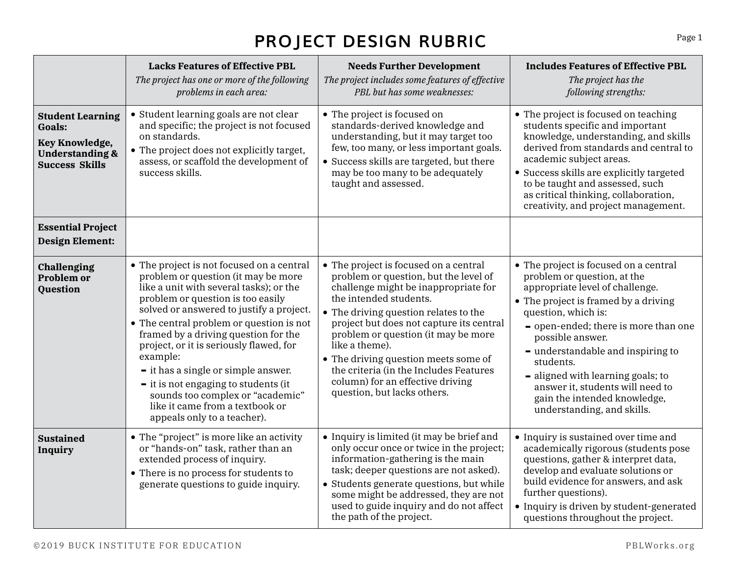## **PROJECT DESIGN RUBRIC**

|                                                                                                                          | <b>Lacks Features of Effective PBL</b><br>The project has one or more of the following<br>problems in each area:                                                                                                                                                                                                                                                                                                                                                                                                                                                    | <b>Needs Further Development</b><br>The project includes some features of effective<br>PBL but has some weaknesses:                                                                                                                                                                                                                                                                                                                                 | <b>Includes Features of Effective PBL</b><br>The project has the<br>following strengths:                                                                                                                                                                                                                                                                                                                                    |
|--------------------------------------------------------------------------------------------------------------------------|---------------------------------------------------------------------------------------------------------------------------------------------------------------------------------------------------------------------------------------------------------------------------------------------------------------------------------------------------------------------------------------------------------------------------------------------------------------------------------------------------------------------------------------------------------------------|-----------------------------------------------------------------------------------------------------------------------------------------------------------------------------------------------------------------------------------------------------------------------------------------------------------------------------------------------------------------------------------------------------------------------------------------------------|-----------------------------------------------------------------------------------------------------------------------------------------------------------------------------------------------------------------------------------------------------------------------------------------------------------------------------------------------------------------------------------------------------------------------------|
| <b>Student Learning</b><br><b>Goals:</b><br><b>Key Knowledge,</b><br><b>Understanding &amp;</b><br><b>Success Skills</b> | • Student learning goals are not clear<br>and specific; the project is not focused<br>on standards.<br>• The project does not explicitly target,<br>assess, or scaffold the development of<br>success skills.                                                                                                                                                                                                                                                                                                                                                       | • The project is focused on<br>standards-derived knowledge and<br>understanding, but it may target too<br>few, too many, or less important goals.<br>• Success skills are targeted, but there<br>may be too many to be adequately<br>taught and assessed.                                                                                                                                                                                           | • The project is focused on teaching<br>students specific and important<br>knowledge, understanding, and skills<br>derived from standards and central to<br>academic subject areas.<br>• Success skills are explicitly targeted<br>to be taught and assessed, such<br>as critical thinking, collaboration,<br>creativity, and project management.                                                                           |
| <b>Essential Project</b><br><b>Design Element:</b>                                                                       |                                                                                                                                                                                                                                                                                                                                                                                                                                                                                                                                                                     |                                                                                                                                                                                                                                                                                                                                                                                                                                                     |                                                                                                                                                                                                                                                                                                                                                                                                                             |
| Challenging<br><b>Problem or</b><br><b>Question</b>                                                                      | • The project is not focused on a central<br>problem or question (it may be more<br>like a unit with several tasks); or the<br>problem or question is too easily<br>solved or answered to justify a project.<br>• The central problem or question is not<br>framed by a driving question for the<br>project, or it is seriously flawed, for<br>example:<br>- it has a single or simple answer.<br>$\overline{\phantom{a}}$ it is not engaging to students (it<br>sounds too complex or "academic"<br>like it came from a textbook or<br>appeals only to a teacher). | • The project is focused on a central<br>problem or question, but the level of<br>challenge might be inappropriate for<br>the intended students.<br>• The driving question relates to the<br>project but does not capture its central<br>problem or question (it may be more<br>like a theme).<br>• The driving question meets some of<br>the criteria (in the Includes Features<br>column) for an effective driving<br>question, but lacks others. | • The project is focused on a central<br>problem or question, at the<br>appropriate level of challenge.<br>• The project is framed by a driving<br>question, which is:<br>- open-ended; there is more than one<br>possible answer.<br>- understandable and inspiring to<br>students.<br>- aligned with learning goals; to<br>answer it, students will need to<br>gain the intended knowledge,<br>understanding, and skills. |
| <b>Sustained</b><br><b>Inquiry</b>                                                                                       | • The "project" is more like an activity<br>or "hands-on" task, rather than an<br>extended process of inquiry.<br>• There is no process for students to<br>generate questions to guide inquiry.                                                                                                                                                                                                                                                                                                                                                                     | • Inquiry is limited (it may be brief and<br>only occur once or twice in the project;<br>information-gathering is the main<br>task; deeper questions are not asked).<br>• Students generate questions, but while<br>some might be addressed, they are not<br>used to guide inquiry and do not affect<br>the path of the project.                                                                                                                    | • Inquiry is sustained over time and<br>academically rigorous (students pose<br>questions, gather & interpret data,<br>develop and evaluate solutions or<br>build evidence for answers, and ask<br>further questions).<br>• Inquiry is driven by student-generated<br>questions throughout the project.                                                                                                                     |